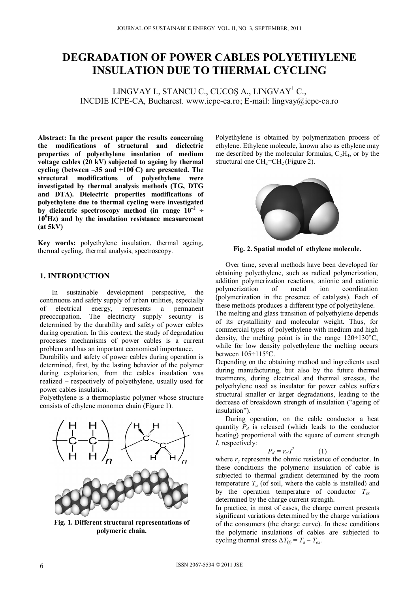# **DEGRADATION OF POWER CABLES POLYETHYLENE INSULATION DUE TO THERMAL CYCLING**

LINGVAY I., STANCU C., CUCOȘ A., LINGVAY<sup>1</sup> C., INCDIE ICPE-CA, Bucharest. www.icpe-ca.ro; E-mail: lingvay@icpe-ca.ro

**Abstract: In the present paper the results concerning the modifications of structural and dielectric properties of polyethylene insulation of medium voltage cables (20 kV) subjected to ageing by thermal cycling (between –35 and +100° C) are presented. The structural modifications of polyethylene were investigated by thermal analysis methods (TG, DTG and DTA). Dielectric properties modifications of polyethylene due to thermal cycling were investigated**  by dielectric spectroscopy method (in range  $10^{-2}$  ÷ **10<sup>6</sup> Hz) and by the insulation resistance measurement (at 5kV)** 

**Key words:** polyethylene insulation, thermal ageing, thermal cycling, thermal analysis, spectroscopy.

# **1. INTRODUCTION**

In sustainable development perspective, the continuous and safety supply of urban utilities, especially of electrical energy, represents a permanent preoccupation. The electricity supply security is determined by the durability and safety of power cables during operation. In this context, the study of degradation processes mechanisms of power cables is a current problem and has an important economical importance.

Durability and safety of power cables during operation is determined, first, by the lasting behavior of the polymer during exploitation, from the cables insulation was realized – respectively of polyethylene, usually used for power cables insulation.

Polyethylene is a thermoplastic polymer whose structure consists of ethylene monomer chain (Figure 1).



**Fig. 1. Different structural representations of polymeric chain.** 

Polyethylene is obtained by polymerization process of ethylene. Ethylene molecule, known also as ethylene may me described by the molecular formulas,  $C_2H_4$ , or by the structural one  $CH<sub>2</sub>=CH<sub>2</sub>$  (Figure 2).



**Fig. 2. Spatial model of ethylene molecule.**

Over time, several methods have been developed for obtaining polyethylene, such as radical polymerization, addition polymerization reactions, anionic and cationic polymerization (polymerization in the presence of catalysts). Each of these methods produces a different type of polyethylene. The melting and glass transition of polyethylene depends of its crystallinity and molecular weight. Thus, for commercial types of polyethylene with medium and high density, the melting point is in the range  $120 \div 130^{\circ}$ C, while for low density polyethylene the melting occurs between 105÷115°C.

Depending on the obtaining method and ingredients used during manufacturing, but also by the future thermal treatments, during electrical and thermal stresses, the polyethylene used as insulator for power cables suffers structural smaller or larger degradations, leading to the decrease of breakdown strength of insulation ("ageing of insulation").

During operation, on the cable conductor a heat quantity  $P_d$  is released (which leads to the conductor heating) proportional with the square of current strength *I*, respectively:

$$
P_d = r_c \cdot I^2 \tag{1}
$$

where  $r_c$  represents the ohmic resistance of conductor. In these conditions the polymeric insulation of cable is subjected to thermal gradient determined by the room temperature  $T_a$  (of soil, where the cable is installed) and by the operation temperature of conductor  $T_{ex}$  – determined by the charge current strength.

In practice, in most of cases, the charge current presents significant variations determined by the charge variations of the consumers (the charge curve). In these conditions the polymeric insulations of cables are subjected to cycling thermal stress  $\Delta T_{(t)} = T_a - T_{ex}$ .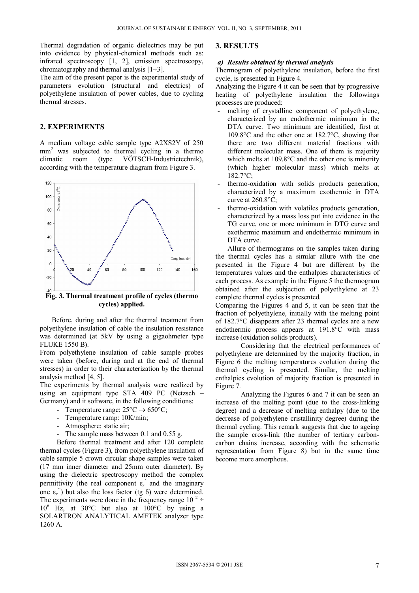Thermal degradation of organic dielectrics may be put into evidence by physical-chemical methods such as: infrared spectroscopy [1, 2], emission spectroscopy, chromatography and thermal analysis  $[1\div 3]$ .

The aim of the present paper is the experimental study of parameters evolution (structural and electrics) of polyethylene insulation of power cables, due to cycling thermal stresses.

# **2. EXPERIMENTS**

A medium voltage cable sample type A2XS2Y of 250 mm<sup>2</sup> was subjected to thermal cycling in a thermo climatic room (type VÖTSCH-Industrietechnik), according with the temperature diagram from Figure 3.



**cycles) applied.** 

Before, during and after the thermal treatment from polyethylene insulation of cable the insulation resistance was determined (at 5kV by using a gigaohmeter type FLUKE 1550 B).

From polyethylene insulation of cable sample probes were taken (before, during and at the end of thermal stresses) in order to their characterization by the thermal analysis method [4, 5].

The experiments by thermal analysis were realized by using an equipment type STA 409 PC (Netzsch – Germany) and it software, in the following conditions:

- Temperature range:  $25^{\circ}C \rightarrow 650^{\circ}C$ ;
- Temperature ramp: 10K/min;
- Atmosphere: static air;
- The sample mass between 0.1 and 0.55 g.

Before thermal treatment and after 120 complete thermal cycles (Figure 3), from polyethylene insulation of cable sample 5 crown circular shape samples were taken (17 mm inner diameter and 25mm outer diameter). By using the dielectric spectroscopy method the complex permittivity (the real component  $\varepsilon_r$ <sup>'</sup> and the imaginary one  $\varepsilon_r$ <sup>"</sup>) but also the loss factor (tg  $\delta$ ) were determined. The experiments were done in the frequency range  $10^{-2} \div$ 106 Hz, at 30°C but also at 100°C by using a SOLARTRON ANALYTICAL AMETEK analyzer type 1260 A.

#### **3. RESULTS**

#### *a) Results obtained by thermal analysis*

Thermogram of polyethylene insulation, before the first cycle, is presented in Figure 4.

Analyzing the Figure 4 it can be seen that by progressive heating of polyethylene insulation the followings processes are produced:

- melting of crystalline component of polyethylene, characterized by an endothermic minimum in the DTA curve. Two minimum are identified, first at 109.8°C and the other one at 182.7°C, showing that there are two different material fractions with different molecular mass. One of them is majority which melts at 109.8°C and the other one is minority (which higher molecular mass) which melts at 182.7°C;
- thermo-oxidation with solids products generation, characterized by a maximum exothermic in DTA curve at 260.8°C;
- thermo-oxidation with volatiles products generation, characterized by a mass loss put into evidence in the TG curve, one or more minimum in DTG curve and exothermic maximum and endothermic minimum in DTA curve.

Allure of thermograms on the samples taken during the thermal cycles has a similar allure with the one presented in the Figure 4 but are different by the temperatures values and the enthalpies characteristics of each process. As example in the Figure 5 the thermogram obtained after the subjection of polyethylene at 23 complete thermal cycles is presented.

Comparing the Figures 4 and 5, it can be seen that the fraction of polyethylene, initially with the melting point of 182.7°C disappears after 23 thermal cycles are a new endothermic process appears at 191.8°C with mass increase (oxidation solids products).

Considering that the electrical performances of polyethylene are determined by the majority fraction, in Figure 6 the melting temperatures evolution during the thermal cycling is presented. Similar, the melting enthalpies evolution of majority fraction is presented in Figure 7.

Analyzing the Figures 6 and 7 it can be seen an increase of the melting point (due to the cross-linking degree) and a decrease of melting enthalpy (due to the decrease of polyethylene cristallinity degree) during the thermal cycling. This remark suggests that due to ageing the sample cross-link (the number of tertiary carboncarbon chains increase, according with the schematic representation from Figure 8) but in the same time become more amorphous.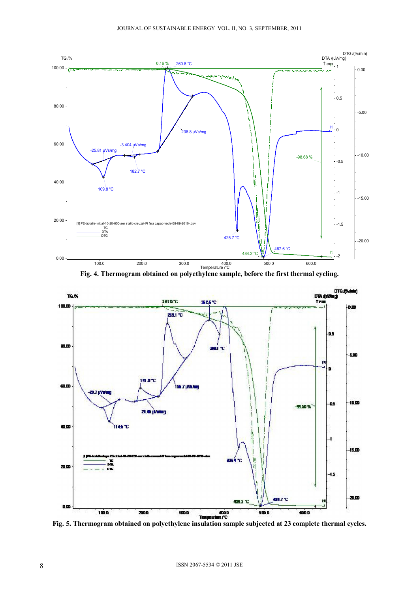

**Fig. 4. Thermogram obtained on polyethylene sample, before the first thermal cycling.** 



**Fig. 5. Thermogram obtained on polyethylene insulation sample subjected at 23 complete thermal cycles.**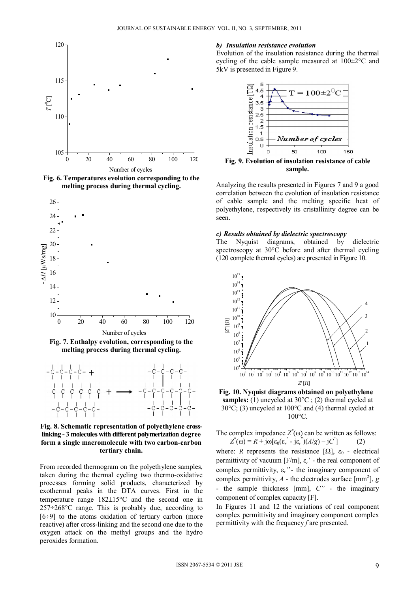

**Fig. 6. Temperatures evolution corresponding to the melting process during thermal cycling.**



**Fig. 7. Enthalpy evolution, corresponding to the melting process during thermal cycling.**



**Fig. 8. Schematic representation of polyethylene crosslinking - 3 molecules with different polymerization degree form a single macromolecule with two carbon-carbon tertiary chain.**

From recorded thermogram on the polyethylene samples, taken during the thermal cycling two thermo-oxidative processes forming solid products, characterized by exothermal peaks in the DTA curves. First in the temperature range  $182 \pm 15^{\circ}$ C and the second one in 257÷268°C range. This is probably due, according to  $[6 \div 9]$  to the atoms oxidation of tertiary carbon (more reactive) after cross-linking and the second one due to the oxygen attack on the methyl groups and the hydro peroxides formation.

#### *b) Insulation resistance evolution*

Evolution of the insulation resistance during the thermal cycling of the cable sample measured at 100±2°C and 5kV is presented in Figure 9.



**sample.**

Analyzing the results presented in Figures 7 and 9 a good correlation between the evolution of insulation resistance of cable sample and the melting specific heat of polyethylene, respectively its cristallinity degree can be seen.

#### *c) Results obtained by dielectric spectroscopy*

The Nyquist diagrams, obtained by dielectric spectroscopy at 30°C before and after thermal cycling (120 complete thermal cycles) are presented in Figure 10.





The complex impedance  $Z^*(\omega)$  can be written as follows:  $Z^*(\omega) = R + j\omega[\epsilon_0(\epsilon_r - j\epsilon_r)](A/g) - jC'$ ] (2)

where: *R* represents the resistance  $[\Omega]$ ,  $\varepsilon_0$  - electrical permittivity of vacuum [F/m], ε*r*' - the real component of complex permittivity, ε*r"* - the imaginary component of complex permittivity,  $A$  - the electrodes surface [mm<sup>2</sup>],  $g$ - the sample thickness [mm], *C"* - the imaginary component of complex capacity [F].

In Figures 11 and 12 the variations of real component complex permittivity and imaginary component complex permittivity with the frequency *f* are presented.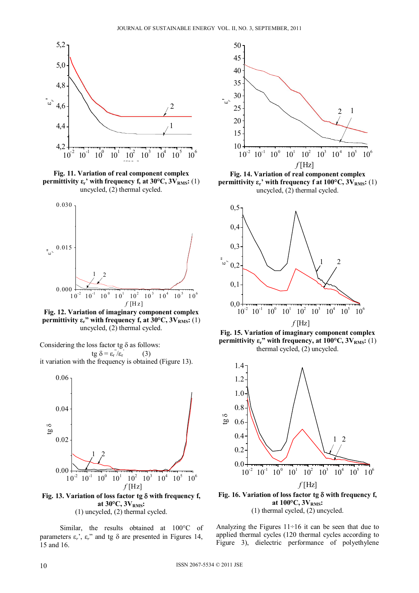

**Fig. 11. Variation of real component complex permittivity**  $\epsilon_r$ **' with frequency f, at 30°C, 3V<sub>RMS</sub>: (1)** uncycled, (2) thermal cycled.



**Fig. 12. Variation of imaginary component complex permittivity**  $\epsilon_r$ **" with frequency f, at 30°C,**  $3V_{RMS}$ **: (1)** uncycled, (2) thermal cycled.

Considering the loss factor tg  $\delta$  as follows:  $tg \delta = \varepsilon_r \ddot{z}_r$  (3) it variation with the frequency is obtained (Figure 13).



(1) uncycled, (2) thermal cycled.

Similar, the results obtained at 100°C of parameters  $\varepsilon_r$ <sup>'</sup>,  $\varepsilon_r$ <sup>'</sup> and tg  $\delta$  are presented in Figures 14, 15 and 16.



**permittivity**  $\epsilon_r$ **' with frequency f at 100°C,**  $3V_{RMS}$ **:** (1) uncycled, (2) thermal cycled.



**Fig. 15. Variation of imaginary component complex permittivity**  $\epsilon_r$ **" with frequency, at 100°C,**  $3V_{RMS}$ **:** (1) thermal cycled, (2) uncycled.



at 100°C,  $3V<sub>RMS</sub>$ : (1) thermal cycled, (2) uncycled.

Analyzing the Figures 11÷16 it can be seen that due to applied thermal cycles (120 thermal cycles according to Figure 3), dielectric performance of polyethylene